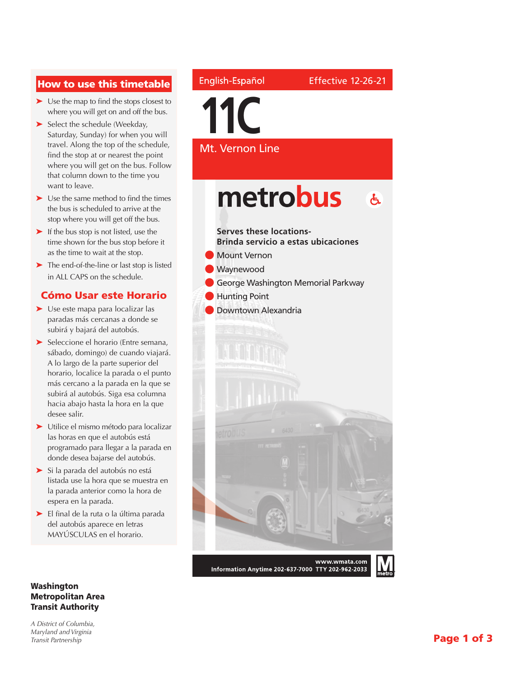### How to use this timetable

- ➤ Use the map to find the stops closest to where you will get on and off the bus.
- ➤ Select the schedule (Weekday, Saturday, Sunday) for when you will travel. Along the top of the schedule, find the stop at or nearest the point where you will get on the bus. Follow that column down to the time you want to leave.
- ➤ Use the same method to find the times the bus is scheduled to arrive at the stop where you will get off the bus.
- ➤ If the bus stop is not listed, use the time shown for the bus stop before it as the time to wait at the stop.
- ➤ The end-of-the-line or last stop is listed in ALL CAPS on the schedule.

### Cómo Usar este Horario

- ➤ Use este mapa para localizar las paradas más cercanas a donde se subirá y bajará del autobús.
- ➤ Seleccione el horario (Entre semana, sábado, domingo) de cuando viajará. A lo largo de la parte superior del horario, localice la parada o el punto más cercano a la parada en la que se subirá al autobús. Siga esa columna hacia abajo hasta la hora en la que desee salir.
- ➤ Utilice el mismo método para localizar las horas en que el autobús está programado para llegar a la parada en donde desea bajarse del autobús.
- ➤ Si la parada del autobús no está listada use la hora que se muestra en la parada anterior como la hora de espera en la parada.
- ➤ El final de la ruta o la última parada del autobús aparece en letras MAYÚSCULAS en el horario.

#### Washington Metropolitan Area Transit Authority

*A District of Columbia, Maryland and Virginia Transit Partnership*

### English-Español

**11C**

Mt. Vernon Line

Effective 12-26-21

metrobus  $\mathbf{A}$ **Serves these locations-Brinda servicio a estas ubicaciones** Mount Vernon **Waynewood** George Washington Memorial Parkway **Hunting Point** Downtown Alexandria www.wmata.com

Information Anytime 202-637-7000 TTY 202-962-2033

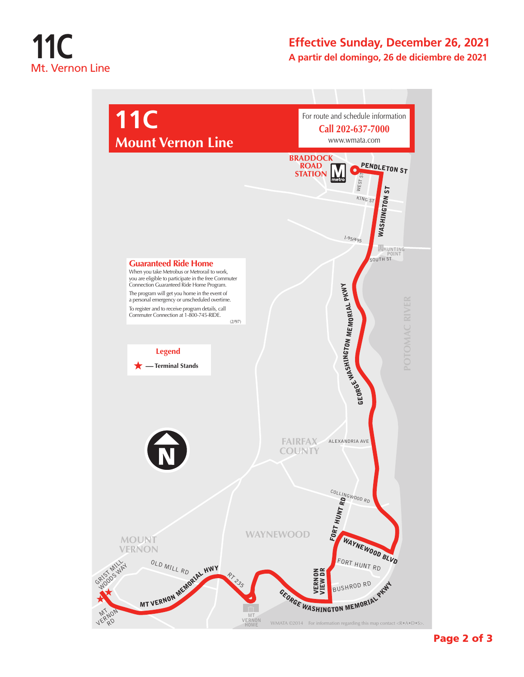# **11C** Mt. Vernon Line

### **Effective Sunday, December 26, 2021 A partir del domingo, 26 de diciembre de 2021**